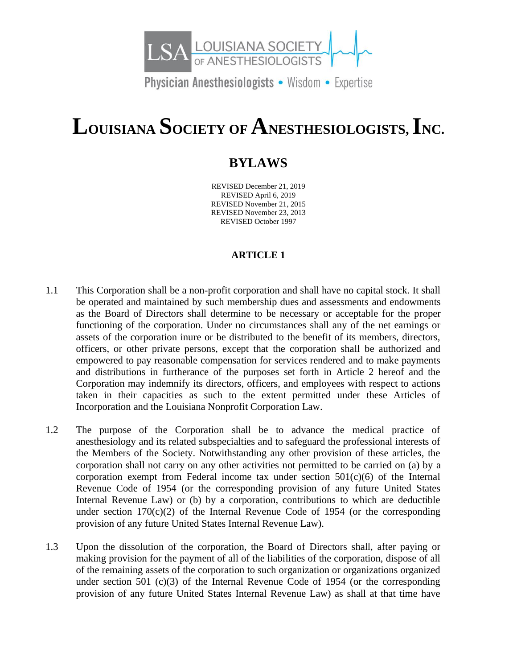

Physician Anesthesiologists • Wisdom • Expertise

# **LOUISIANA SOCIETY OF ANESTHESIOLOGISTS, INC.**

# **BYLAWS**

REVISED December 21, 2019 REVISED April 6, 2019 REVISED November 21, 2015 REVISED November 23, 2013 REVISED October 1997

# **ARTICLE 1**

- 1.1 This Corporation shall be a non-profit corporation and shall have no capital stock. It shall be operated and maintained by such membership dues and assessments and endowments as the Board of Directors shall determine to be necessary or acceptable for the proper functioning of the corporation. Under no circumstances shall any of the net earnings or assets of the corporation inure or be distributed to the benefit of its members, directors, officers, or other private persons, except that the corporation shall be authorized and empowered to pay reasonable compensation for services rendered and to make payments and distributions in furtherance of the purposes set forth in Article 2 hereof and the Corporation may indemnify its directors, officers, and employees with respect to actions taken in their capacities as such to the extent permitted under these Articles of Incorporation and the Louisiana Nonprofit Corporation Law.
- 1.2 The purpose of the Corporation shall be to advance the medical practice of anesthesiology and its related subspecialties and to safeguard the professional interests of the Members of the Society. Notwithstanding any other provision of these articles, the corporation shall not carry on any other activities not permitted to be carried on (a) by a corporation exempt from Federal income tax under section  $501(c)(6)$  of the Internal Revenue Code of 1954 (or the corresponding provision of any future United States Internal Revenue Law) or (b) by a corporation, contributions to which are deductible under section  $170(c)(2)$  of the Internal Revenue Code of 1954 (or the corresponding provision of any future United States Internal Revenue Law).
- 1.3 Upon the dissolution of the corporation, the Board of Directors shall, after paying or making provision for the payment of all of the liabilities of the corporation, dispose of all of the remaining assets of the corporation to such organization or organizations organized under section 501 (c)(3) of the Internal Revenue Code of 1954 (or the corresponding provision of any future United States Internal Revenue Law) as shall at that time have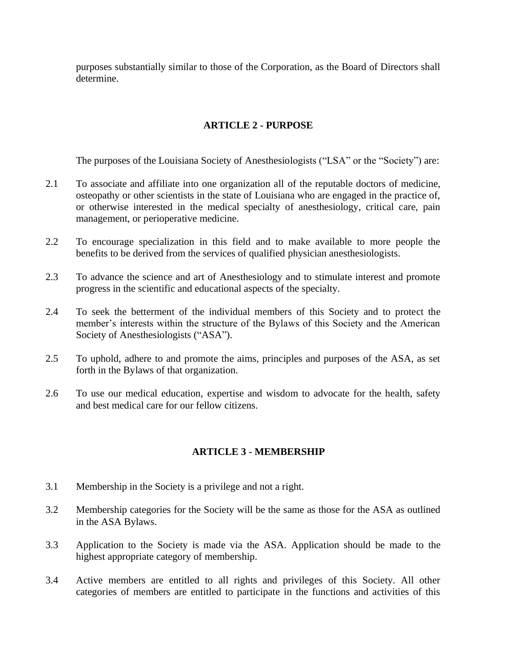purposes substantially similar to those of the Corporation, as the Board of Directors shall determine.

# **ARTICLE 2 - PURPOSE**

The purposes of the Louisiana Society of Anesthesiologists ("LSA" or the "Society") are:

- 2.1 To associate and affiliate into one organization all of the reputable doctors of medicine, osteopathy or other scientists in the state of Louisiana who are engaged in the practice of, or otherwise interested in the medical specialty of anesthesiology, critical care, pain management, or perioperative medicine.
- 2.2 To encourage specialization in this field and to make available to more people the benefits to be derived from the services of qualified physician anesthesiologists.
- 2.3 To advance the science and art of Anesthesiology and to stimulate interest and promote progress in the scientific and educational aspects of the specialty.
- 2.4 To seek the betterment of the individual members of this Society and to protect the member's interests within the structure of the Bylaws of this Society and the American Society of Anesthesiologists ("ASA").
- 2.5 To uphold, adhere to and promote the aims, principles and purposes of the ASA, as set forth in the Bylaws of that organization.
- 2.6 To use our medical education, expertise and wisdom to advocate for the health, safety and best medical care for our fellow citizens.

# **ARTICLE 3 - MEMBERSHIP**

- 3.1 Membership in the Society is a privilege and not a right.
- 3.2 Membership categories for the Society will be the same as those for the ASA as outlined in the ASA Bylaws.
- 3.3 Application to the Society is made via the ASA. Application should be made to the highest appropriate category of membership.
- 3.4 Active members are entitled to all rights and privileges of this Society. All other categories of members are entitled to participate in the functions and activities of this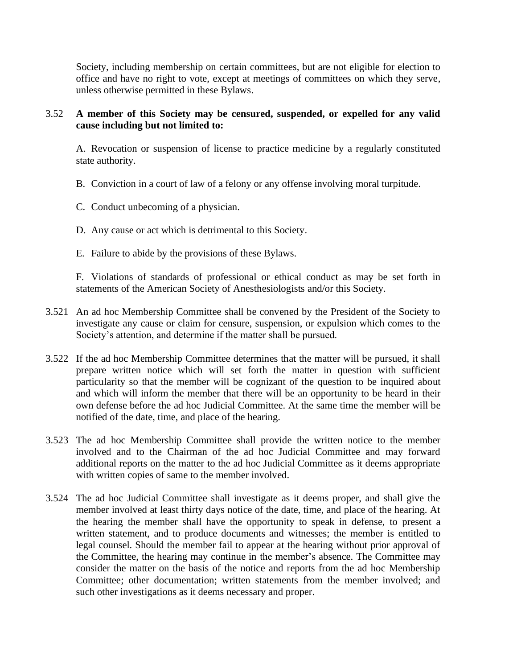Society, including membership on certain committees, but are not eligible for election to office and have no right to vote, except at meetings of committees on which they serve, unless otherwise permitted in these Bylaws.

## 3.52 **A member of this Society may be censured, suspended, or expelled for any valid cause including but not limited to:**

A. Revocation or suspension of license to practice medicine by a regularly constituted state authority.

- B. Conviction in a court of law of a felony or any offense involving moral turpitude.
- C. Conduct unbecoming of a physician.
- D. Any cause or act which is detrimental to this Society.
- E. Failure to abide by the provisions of these Bylaws.

F. Violations of standards of professional or ethical conduct as may be set forth in statements of the American Society of Anesthesiologists and/or this Society.

- 3.521 An ad hoc Membership Committee shall be convened by the President of the Society to investigate any cause or claim for censure, suspension, or expulsion which comes to the Society's attention, and determine if the matter shall be pursued.
- 3.522 If the ad hoc Membership Committee determines that the matter will be pursued, it shall prepare written notice which will set forth the matter in question with sufficient particularity so that the member will be cognizant of the question to be inquired about and which will inform the member that there will be an opportunity to be heard in their own defense before the ad hoc Judicial Committee. At the same time the member will be notified of the date, time, and place of the hearing.
- 3.523 The ad hoc Membership Committee shall provide the written notice to the member involved and to the Chairman of the ad hoc Judicial Committee and may forward additional reports on the matter to the ad hoc Judicial Committee as it deems appropriate with written copies of same to the member involved.
- 3.524 The ad hoc Judicial Committee shall investigate as it deems proper, and shall give the member involved at least thirty days notice of the date, time, and place of the hearing. At the hearing the member shall have the opportunity to speak in defense, to present a written statement, and to produce documents and witnesses; the member is entitled to legal counsel. Should the member fail to appear at the hearing without prior approval of the Committee, the hearing may continue in the member's absence. The Committee may consider the matter on the basis of the notice and reports from the ad hoc Membership Committee; other documentation; written statements from the member involved; and such other investigations as it deems necessary and proper.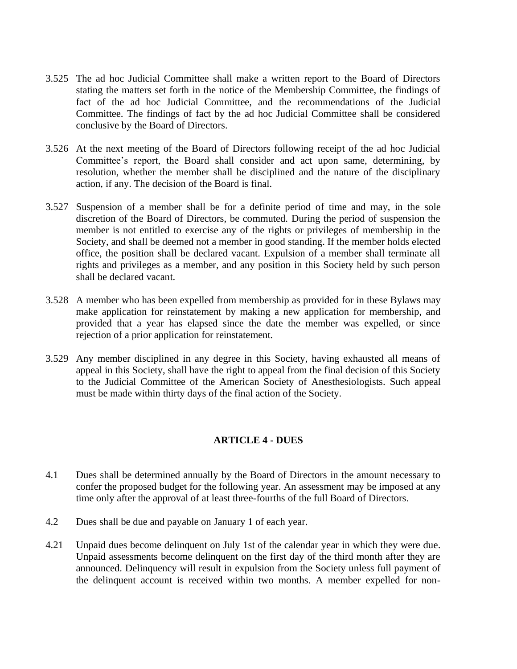- 3.525 The ad hoc Judicial Committee shall make a written report to the Board of Directors stating the matters set forth in the notice of the Membership Committee, the findings of fact of the ad hoc Judicial Committee, and the recommendations of the Judicial Committee. The findings of fact by the ad hoc Judicial Committee shall be considered conclusive by the Board of Directors.
- 3.526 At the next meeting of the Board of Directors following receipt of the ad hoc Judicial Committee's report, the Board shall consider and act upon same, determining, by resolution, whether the member shall be disciplined and the nature of the disciplinary action, if any. The decision of the Board is final.
- 3.527 Suspension of a member shall be for a definite period of time and may, in the sole discretion of the Board of Directors, be commuted. During the period of suspension the member is not entitled to exercise any of the rights or privileges of membership in the Society, and shall be deemed not a member in good standing. If the member holds elected office, the position shall be declared vacant. Expulsion of a member shall terminate all rights and privileges as a member, and any position in this Society held by such person shall be declared vacant.
- 3.528 A member who has been expelled from membership as provided for in these Bylaws may make application for reinstatement by making a new application for membership, and provided that a year has elapsed since the date the member was expelled, or since rejection of a prior application for reinstatement.
- 3.529 Any member disciplined in any degree in this Society, having exhausted all means of appeal in this Society, shall have the right to appeal from the final decision of this Society to the Judicial Committee of the American Society of Anesthesiologists. Such appeal must be made within thirty days of the final action of the Society.

#### **ARTICLE 4 - DUES**

- 4.1 Dues shall be determined annually by the Board of Directors in the amount necessary to confer the proposed budget for the following year. An assessment may be imposed at any time only after the approval of at least three-fourths of the full Board of Directors.
- 4.2 Dues shall be due and payable on January 1 of each year.
- 4.21 Unpaid dues become delinquent on July 1st of the calendar year in which they were due. Unpaid assessments become delinquent on the first day of the third month after they are announced. Delinquency will result in expulsion from the Society unless full payment of the delinquent account is received within two months. A member expelled for non-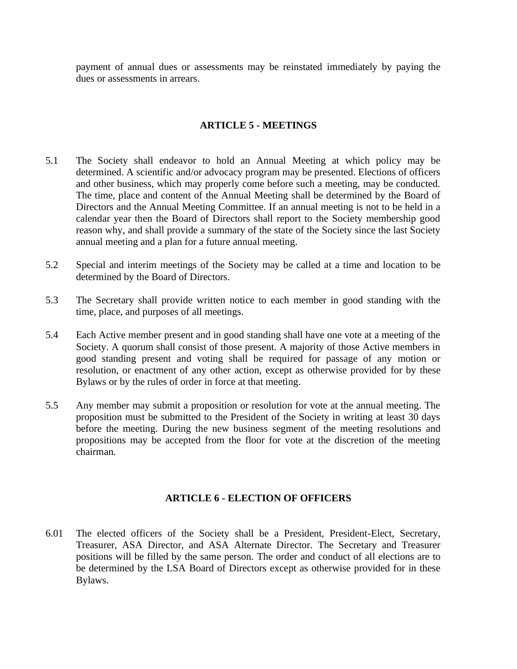payment of annual dues or assessments may be reinstated immediately by paying the dues or assessments in arrears.

### **ARTICLE 5 - MEETINGS**

- 5.1 The Society shall endeavor to hold an Annual Meeting at which policy may be determined. A scientific and/or advocacy program may be presented. Elections of officers and other business, which may properly come before such a meeting, may be conducted. The time, place and content of the Annual Meeting shall be determined by the Board of Directors and the Annual Meeting Committee. If an annual meeting is not to be held in a calendar year then the Board of Directors shall report to the Society membership good reason why, and shall provide a summary of the state of the Society since the last Society annual meeting and a plan for a future annual meeting.
- 5.2 Special and interim meetings of the Society may be called at a time and location to be determined by the Board of Directors.
- 5.3 The Secretary shall provide written notice to each member in good standing with the time, place, and purposes of all meetings.
- 5.4 Each Active member present and in good standing shall have one vote at a meeting of the Society. A quorum shall consist of those present. A majority of those Active members in good standing present and voting shall be required for passage of any motion or resolution, or enactment of any other action, except as otherwise provided for by these Bylaws or by the rules of order in force at that meeting.
- 5.5 Any member may submit a proposition or resolution for vote at the annual meeting. The proposition must be submitted to the President of the Society in writing at least 30 days before the meeting. During the new business segment of the meeting resolutions and propositions may be accepted from the floor for vote at the discretion of the meeting chairman.

#### **ARTICLE 6 - ELECTION OF OFFICERS**

6.01 The elected officers of the Society shall be a President, President-Elect, Secretary, Treasurer, ASA Director, and ASA Alternate Director. The Secretary and Treasurer positions will be filled by the same person. The order and conduct of all elections are to be determined by the LSA Board of Directors except as otherwise provided for in these Bylaws.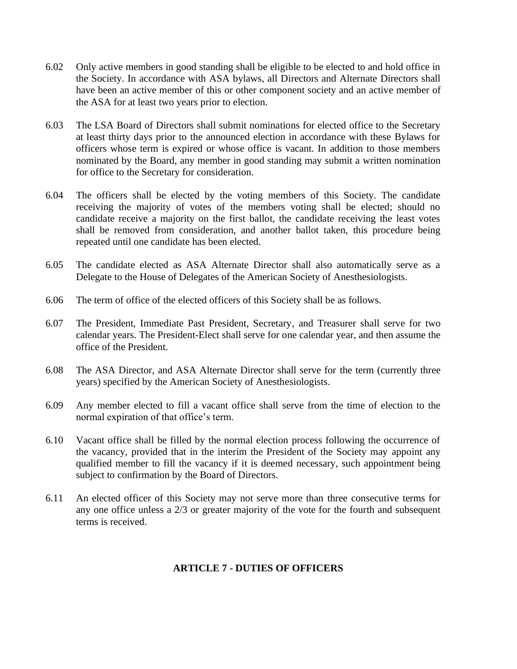- 6.02 Only active members in good standing shall be eligible to be elected to and hold office in the Society. In accordance with ASA bylaws, all Directors and Alternate Directors shall have been an active member of this or other component society and an active member of the ASA for at least two years prior to election.
- 6.03 The LSA Board of Directors shall submit nominations for elected office to the Secretary at least thirty days prior to the announced election in accordance with these Bylaws for officers whose term is expired or whose office is vacant. In addition to those members nominated by the Board, any member in good standing may submit a written nomination for office to the Secretary for consideration.
- 6.04 The officers shall be elected by the voting members of this Society. The candidate receiving the majority of votes of the members voting shall be elected; should no candidate receive a majority on the first ballot, the candidate receiving the least votes shall be removed from consideration, and another ballot taken, this procedure being repeated until one candidate has been elected.
- 6.05 The candidate elected as ASA Alternate Director shall also automatically serve as a Delegate to the House of Delegates of the American Society of Anesthesiologists.
- 6.06 The term of office of the elected officers of this Society shall be as follows.
- 6.07 The President, Immediate Past President, Secretary, and Treasurer shall serve for two calendar years. The President-Elect shall serve for one calendar year, and then assume the office of the President.
- 6.08 The ASA Director, and ASA Alternate Director shall serve for the term (currently three years) specified by the American Society of Anesthesiologists.
- 6.09 Any member elected to fill a vacant office shall serve from the time of election to the normal expiration of that office's term.
- 6.10 Vacant office shall be filled by the normal election process following the occurrence of the vacancy, provided that in the interim the President of the Society may appoint any qualified member to fill the vacancy if it is deemed necessary, such appointment being subject to confirmation by the Board of Directors.
- 6.11 An elected officer of this Society may not serve more than three consecutive terms for any one office unless a 2/3 or greater majority of the vote for the fourth and subsequent terms is received.

#### **ARTICLE 7 - DUTIES OF OFFICERS**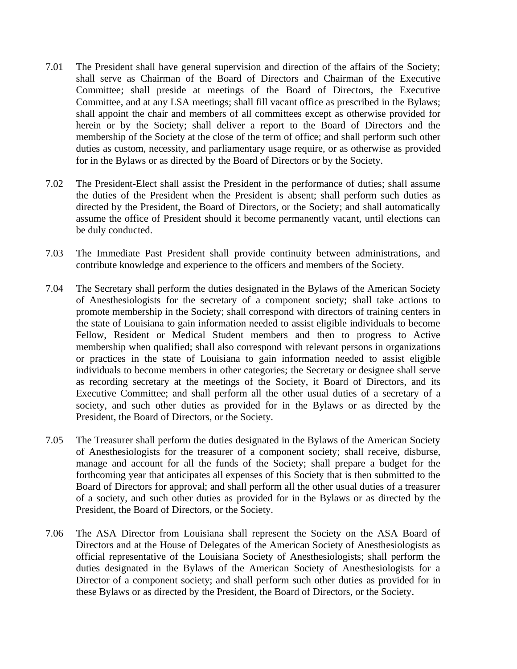- 7.01 The President shall have general supervision and direction of the affairs of the Society; shall serve as Chairman of the Board of Directors and Chairman of the Executive Committee; shall preside at meetings of the Board of Directors, the Executive Committee, and at any LSA meetings; shall fill vacant office as prescribed in the Bylaws; shall appoint the chair and members of all committees except as otherwise provided for herein or by the Society; shall deliver a report to the Board of Directors and the membership of the Society at the close of the term of office; and shall perform such other duties as custom, necessity, and parliamentary usage require, or as otherwise as provided for in the Bylaws or as directed by the Board of Directors or by the Society.
- 7.02 The President-Elect shall assist the President in the performance of duties; shall assume the duties of the President when the President is absent; shall perform such duties as directed by the President, the Board of Directors, or the Society; and shall automatically assume the office of President should it become permanently vacant, until elections can be duly conducted.
- 7.03 The Immediate Past President shall provide continuity between administrations, and contribute knowledge and experience to the officers and members of the Society.
- 7.04 The Secretary shall perform the duties designated in the Bylaws of the American Society of Anesthesiologists for the secretary of a component society; shall take actions to promote membership in the Society; shall correspond with directors of training centers in the state of Louisiana to gain information needed to assist eligible individuals to become Fellow, Resident or Medical Student members and then to progress to Active membership when qualified; shall also correspond with relevant persons in organizations or practices in the state of Louisiana to gain information needed to assist eligible individuals to become members in other categories; the Secretary or designee shall serve as recording secretary at the meetings of the Society, it Board of Directors, and its Executive Committee; and shall perform all the other usual duties of a secretary of a society, and such other duties as provided for in the Bylaws or as directed by the President, the Board of Directors, or the Society.
- 7.05 The Treasurer shall perform the duties designated in the Bylaws of the American Society of Anesthesiologists for the treasurer of a component society; shall receive, disburse, manage and account for all the funds of the Society; shall prepare a budget for the forthcoming year that anticipates all expenses of this Society that is then submitted to the Board of Directors for approval; and shall perform all the other usual duties of a treasurer of a society, and such other duties as provided for in the Bylaws or as directed by the President, the Board of Directors, or the Society.
- 7.06 The ASA Director from Louisiana shall represent the Society on the ASA Board of Directors and at the House of Delegates of the American Society of Anesthesiologists as official representative of the Louisiana Society of Anesthesiologists; shall perform the duties designated in the Bylaws of the American Society of Anesthesiologists for a Director of a component society; and shall perform such other duties as provided for in these Bylaws or as directed by the President, the Board of Directors, or the Society.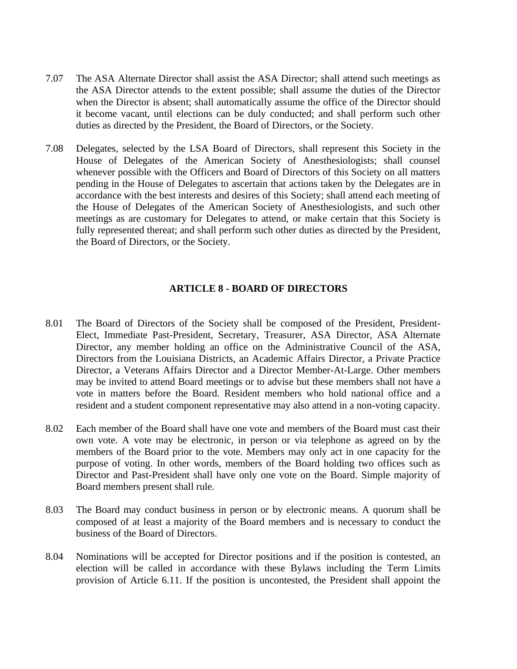- 7.07 The ASA Alternate Director shall assist the ASA Director; shall attend such meetings as the ASA Director attends to the extent possible; shall assume the duties of the Director when the Director is absent; shall automatically assume the office of the Director should it become vacant, until elections can be duly conducted; and shall perform such other duties as directed by the President, the Board of Directors, or the Society.
- 7.08 Delegates, selected by the LSA Board of Directors, shall represent this Society in the House of Delegates of the American Society of Anesthesiologists; shall counsel whenever possible with the Officers and Board of Directors of this Society on all matters pending in the House of Delegates to ascertain that actions taken by the Delegates are in accordance with the best interests and desires of this Society; shall attend each meeting of the House of Delegates of the American Society of Anesthesiologists, and such other meetings as are customary for Delegates to attend, or make certain that this Society is fully represented thereat; and shall perform such other duties as directed by the President, the Board of Directors, or the Society.

## **ARTICLE 8 - BOARD OF DIRECTORS**

- 8.01 The Board of Directors of the Society shall be composed of the President, President-Elect, Immediate Past-President, Secretary, Treasurer, ASA Director, ASA Alternate Director, any member holding an office on the Administrative Council of the ASA, Directors from the Louisiana Districts, an Academic Affairs Director, a Private Practice Director, a Veterans Affairs Director and a Director Member-At-Large. Other members may be invited to attend Board meetings or to advise but these members shall not have a vote in matters before the Board. Resident members who hold national office and a resident and a student component representative may also attend in a non-voting capacity.
- 8.02 Each member of the Board shall have one vote and members of the Board must cast their own vote. A vote may be electronic, in person or via telephone as agreed on by the members of the Board prior to the vote. Members may only act in one capacity for the purpose of voting. In other words, members of the Board holding two offices such as Director and Past-President shall have only one vote on the Board. Simple majority of Board members present shall rule.
- 8.03 The Board may conduct business in person or by electronic means. A quorum shall be composed of at least a majority of the Board members and is necessary to conduct the business of the Board of Directors.
- 8.04 Nominations will be accepted for Director positions and if the position is contested, an election will be called in accordance with these Bylaws including the Term Limits provision of Article 6.11. If the position is uncontested, the President shall appoint the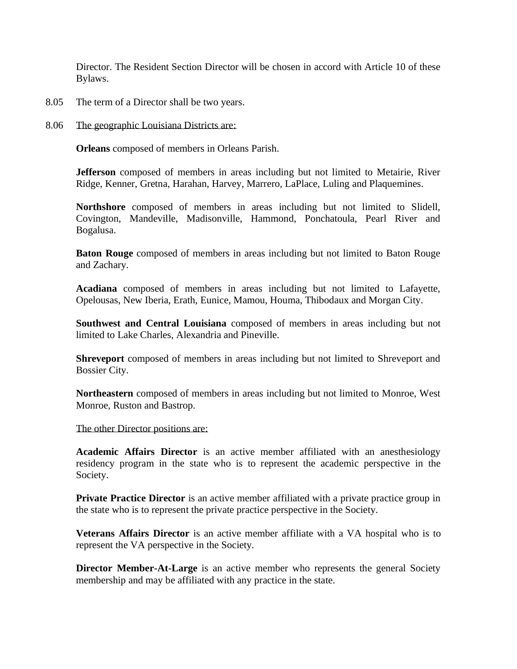Director. The Resident Section Director will be chosen in accord with Article 10 of these Bylaws.

- 8.05 The term of a Director shall be two years.
- 8.06 The geographic Louisiana Districts are:

**Orleans** composed of members in Orleans Parish.

**Jefferson** composed of members in areas including but not limited to Metairie, River Ridge, Kenner, Gretna, Harahan, Harvey, Marrero, LaPlace, Luling and Plaquemines.

**Northshore** composed of members in areas including but not limited to Slidell, Covington, Mandeville, Madisonville, Hammond, Ponchatoula, Pearl River and Bogalusa.

**Baton Rouge** composed of members in areas including but not limited to Baton Rouge and Zachary.

**Acadiana** composed of members in areas including but not limited to Lafayette, Opelousas, New Iberia, Erath, Eunice, Mamou, Houma, Thibodaux and Morgan City.

**Southwest and Central Louisiana** composed of members in areas including but not limited to Lake Charles, Alexandria and Pineville.

**Shreveport** composed of members in areas including but not limited to Shreveport and Bossier City.

**Northeastern** composed of members in areas including but not limited to Monroe, West Monroe, Ruston and Bastrop.

The other Director positions are:

**Academic Affairs Director** is an active member affiliated with an anesthesiology residency program in the state who is to represent the academic perspective in the Society.

**Private Practice Director** is an active member affiliated with a private practice group in the state who is to represent the private practice perspective in the Society.

**Veterans Affairs Director** is an active member affiliate with a VA hospital who is to represent the VA perspective in the Society.

**Director Member-At-Large** is an active member who represents the general Society membership and may be affiliated with any practice in the state.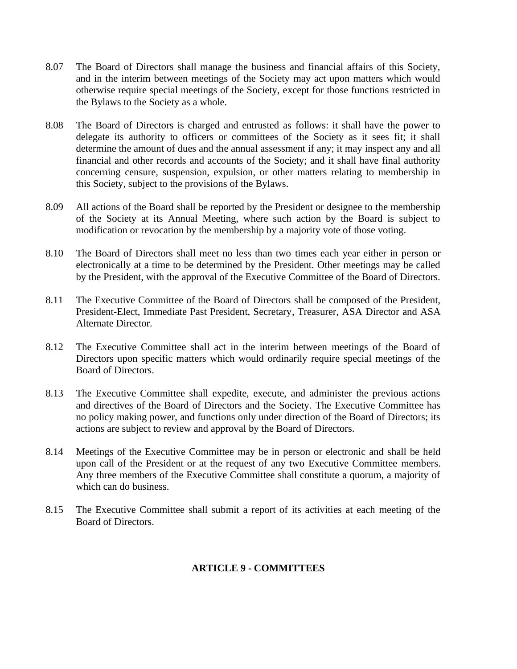- 8.07 The Board of Directors shall manage the business and financial affairs of this Society, and in the interim between meetings of the Society may act upon matters which would otherwise require special meetings of the Society, except for those functions restricted in the Bylaws to the Society as a whole.
- 8.08 The Board of Directors is charged and entrusted as follows: it shall have the power to delegate its authority to officers or committees of the Society as it sees fit; it shall determine the amount of dues and the annual assessment if any; it may inspect any and all financial and other records and accounts of the Society; and it shall have final authority concerning censure, suspension, expulsion, or other matters relating to membership in this Society, subject to the provisions of the Bylaws.
- 8.09 All actions of the Board shall be reported by the President or designee to the membership of the Society at its Annual Meeting, where such action by the Board is subject to modification or revocation by the membership by a majority vote of those voting.
- 8.10 The Board of Directors shall meet no less than two times each year either in person or electronically at a time to be determined by the President. Other meetings may be called by the President, with the approval of the Executive Committee of the Board of Directors.
- 8.11 The Executive Committee of the Board of Directors shall be composed of the President, President-Elect, Immediate Past President, Secretary, Treasurer, ASA Director and ASA Alternate Director.
- 8.12 The Executive Committee shall act in the interim between meetings of the Board of Directors upon specific matters which would ordinarily require special meetings of the Board of Directors.
- 8.13 The Executive Committee shall expedite, execute, and administer the previous actions and directives of the Board of Directors and the Society. The Executive Committee has no policy making power, and functions only under direction of the Board of Directors; its actions are subject to review and approval by the Board of Directors.
- 8.14 Meetings of the Executive Committee may be in person or electronic and shall be held upon call of the President or at the request of any two Executive Committee members. Any three members of the Executive Committee shall constitute a quorum, a majority of which can do business.
- 8.15 The Executive Committee shall submit a report of its activities at each meeting of the Board of Directors.

# **ARTICLE 9 - COMMITTEES**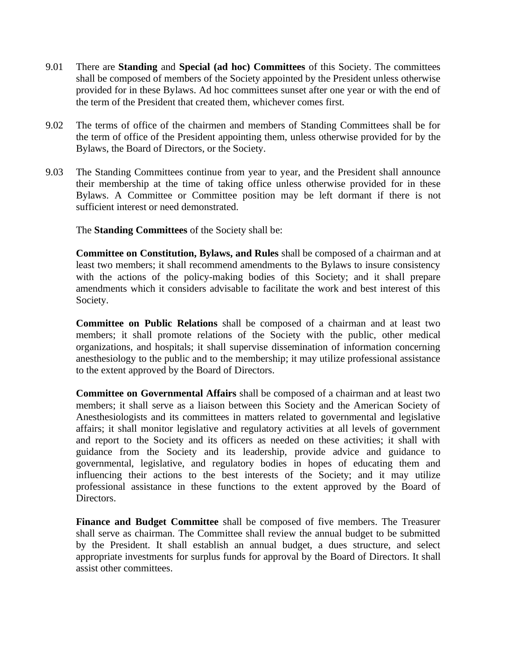- 9.01 There are **Standing** and **Special (ad hoc) Committees** of this Society. The committees shall be composed of members of the Society appointed by the President unless otherwise provided for in these Bylaws. Ad hoc committees sunset after one year or with the end of the term of the President that created them, whichever comes first.
- 9.02 The terms of office of the chairmen and members of Standing Committees shall be for the term of office of the President appointing them, unless otherwise provided for by the Bylaws, the Board of Directors, or the Society.
- 9.03 The Standing Committees continue from year to year, and the President shall announce their membership at the time of taking office unless otherwise provided for in these Bylaws. A Committee or Committee position may be left dormant if there is not sufficient interest or need demonstrated.

The **Standing Committees** of the Society shall be:

**Committee on Constitution, Bylaws, and Rules** shall be composed of a chairman and at least two members; it shall recommend amendments to the Bylaws to insure consistency with the actions of the policy-making bodies of this Society; and it shall prepare amendments which it considers advisable to facilitate the work and best interest of this Society.

**Committee on Public Relations** shall be composed of a chairman and at least two members; it shall promote relations of the Society with the public, other medical organizations, and hospitals; it shall supervise dissemination of information concerning anesthesiology to the public and to the membership; it may utilize professional assistance to the extent approved by the Board of Directors.

**Committee on Governmental Affairs** shall be composed of a chairman and at least two members; it shall serve as a liaison between this Society and the American Society of Anesthesiologists and its committees in matters related to governmental and legislative affairs; it shall monitor legislative and regulatory activities at all levels of government and report to the Society and its officers as needed on these activities; it shall with guidance from the Society and its leadership, provide advice and guidance to governmental, legislative, and regulatory bodies in hopes of educating them and influencing their actions to the best interests of the Society; and it may utilize professional assistance in these functions to the extent approved by the Board of Directors.

**Finance and Budget Committee** shall be composed of five members. The Treasurer shall serve as chairman. The Committee shall review the annual budget to be submitted by the President. It shall establish an annual budget, a dues structure, and select appropriate investments for surplus funds for approval by the Board of Directors. It shall assist other committees.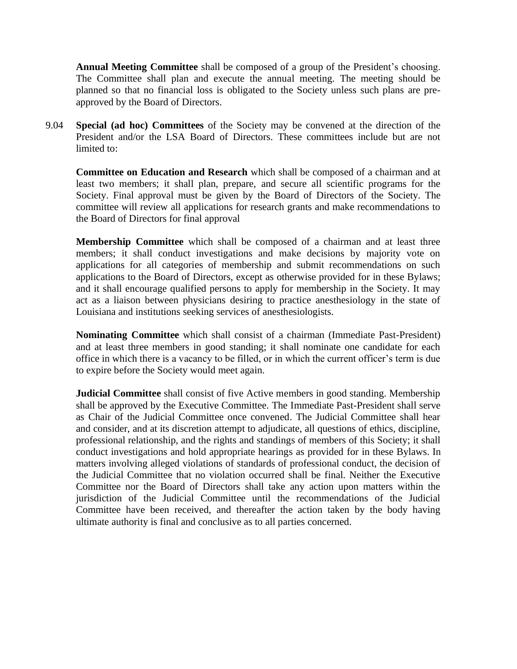**Annual Meeting Committee** shall be composed of a group of the President's choosing. The Committee shall plan and execute the annual meeting. The meeting should be planned so that no financial loss is obligated to the Society unless such plans are preapproved by the Board of Directors.

9.04 **Special (ad hoc) Committees** of the Society may be convened at the direction of the President and/or the LSA Board of Directors. These committees include but are not limited to:

**Committee on Education and Research** which shall be composed of a chairman and at least two members; it shall plan, prepare, and secure all scientific programs for the Society. Final approval must be given by the Board of Directors of the Society. The committee will review all applications for research grants and make recommendations to the Board of Directors for final approval

**Membership Committee** which shall be composed of a chairman and at least three members; it shall conduct investigations and make decisions by majority vote on applications for all categories of membership and submit recommendations on such applications to the Board of Directors, except as otherwise provided for in these Bylaws; and it shall encourage qualified persons to apply for membership in the Society. It may act as a liaison between physicians desiring to practice anesthesiology in the state of Louisiana and institutions seeking services of anesthesiologists.

**Nominating Committee** which shall consist of a chairman (Immediate Past-President) and at least three members in good standing; it shall nominate one candidate for each office in which there is a vacancy to be filled, or in which the current officer's term is due to expire before the Society would meet again.

**Judicial Committee** shall consist of five Active members in good standing. Membership shall be approved by the Executive Committee. The Immediate Past-President shall serve as Chair of the Judicial Committee once convened. The Judicial Committee shall hear and consider, and at its discretion attempt to adjudicate, all questions of ethics, discipline, professional relationship, and the rights and standings of members of this Society; it shall conduct investigations and hold appropriate hearings as provided for in these Bylaws. In matters involving alleged violations of standards of professional conduct, the decision of the Judicial Committee that no violation occurred shall be final. Neither the Executive Committee nor the Board of Directors shall take any action upon matters within the jurisdiction of the Judicial Committee until the recommendations of the Judicial Committee have been received, and thereafter the action taken by the body having ultimate authority is final and conclusive as to all parties concerned.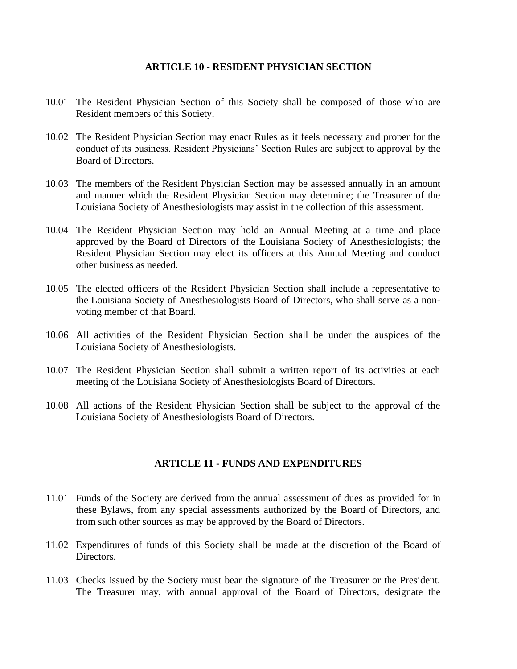#### **ARTICLE 10 - RESIDENT PHYSICIAN SECTION**

- 10.01 The Resident Physician Section of this Society shall be composed of those who are Resident members of this Society.
- 10.02 The Resident Physician Section may enact Rules as it feels necessary and proper for the conduct of its business. Resident Physicians' Section Rules are subject to approval by the Board of Directors.
- 10.03 The members of the Resident Physician Section may be assessed annually in an amount and manner which the Resident Physician Section may determine; the Treasurer of the Louisiana Society of Anesthesiologists may assist in the collection of this assessment.
- 10.04 The Resident Physician Section may hold an Annual Meeting at a time and place approved by the Board of Directors of the Louisiana Society of Anesthesiologists; the Resident Physician Section may elect its officers at this Annual Meeting and conduct other business as needed.
- 10.05 The elected officers of the Resident Physician Section shall include a representative to the Louisiana Society of Anesthesiologists Board of Directors, who shall serve as a nonvoting member of that Board.
- 10.06 All activities of the Resident Physician Section shall be under the auspices of the Louisiana Society of Anesthesiologists.
- 10.07 The Resident Physician Section shall submit a written report of its activities at each meeting of the Louisiana Society of Anesthesiologists Board of Directors.
- 10.08 All actions of the Resident Physician Section shall be subject to the approval of the Louisiana Society of Anesthesiologists Board of Directors.

#### **ARTICLE 11 - FUNDS AND EXPENDITURES**

- 11.01 Funds of the Society are derived from the annual assessment of dues as provided for in these Bylaws, from any special assessments authorized by the Board of Directors, and from such other sources as may be approved by the Board of Directors.
- 11.02 Expenditures of funds of this Society shall be made at the discretion of the Board of Directors.
- 11.03 Checks issued by the Society must bear the signature of the Treasurer or the President. The Treasurer may, with annual approval of the Board of Directors, designate the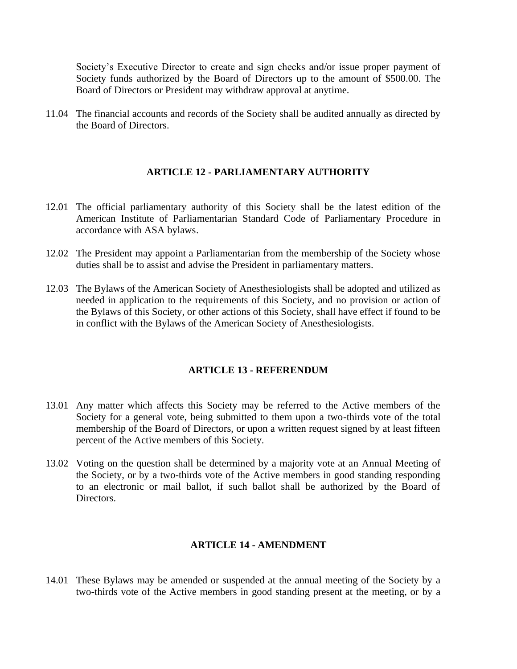Society's Executive Director to create and sign checks and/or issue proper payment of Society funds authorized by the Board of Directors up to the amount of \$500.00. The Board of Directors or President may withdraw approval at anytime.

11.04 The financial accounts and records of the Society shall be audited annually as directed by the Board of Directors.

#### **ARTICLE 12 - PARLIAMENTARY AUTHORITY**

- 12.01 The official parliamentary authority of this Society shall be the latest edition of the American Institute of Parliamentarian Standard Code of Parliamentary Procedure in accordance with ASA bylaws.
- 12.02 The President may appoint a Parliamentarian from the membership of the Society whose duties shall be to assist and advise the President in parliamentary matters.
- 12.03 The Bylaws of the American Society of Anesthesiologists shall be adopted and utilized as needed in application to the requirements of this Society, and no provision or action of the Bylaws of this Society, or other actions of this Society, shall have effect if found to be in conflict with the Bylaws of the American Society of Anesthesiologists.

#### **ARTICLE 13 - REFERENDUM**

- 13.01 Any matter which affects this Society may be referred to the Active members of the Society for a general vote, being submitted to them upon a two-thirds vote of the total membership of the Board of Directors, or upon a written request signed by at least fifteen percent of the Active members of this Society.
- 13.02 Voting on the question shall be determined by a majority vote at an Annual Meeting of the Society, or by a two-thirds vote of the Active members in good standing responding to an electronic or mail ballot, if such ballot shall be authorized by the Board of Directors.

#### **ARTICLE 14 - AMENDMENT**

14.01 These Bylaws may be amended or suspended at the annual meeting of the Society by a two-thirds vote of the Active members in good standing present at the meeting, or by a